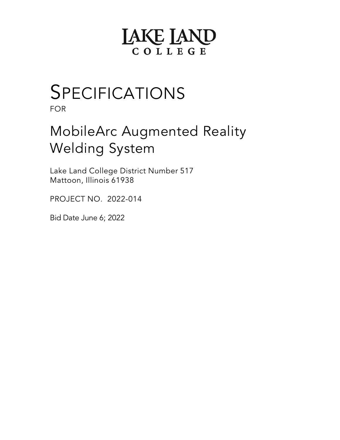# **LAKE LAND** COLLEGE

# SPECIFICATIONS

FOR

# MobileArc Augmented Reality Welding System

Lake Land College District Number 517 Mattoon, Illinois 61938

PROJECT NO. 2022-014

Bid Date June 6; 2022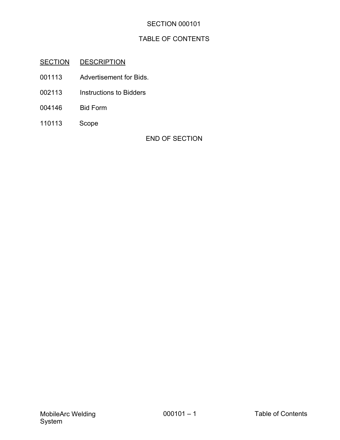# TABLE OF CONTENTS

# SECTION DESCRIPTION

- 001113 Advertisement for Bids.
- 002113 Instructions to Bidders
- 004146 Bid Form
- 110113 Scope

END OF SECTION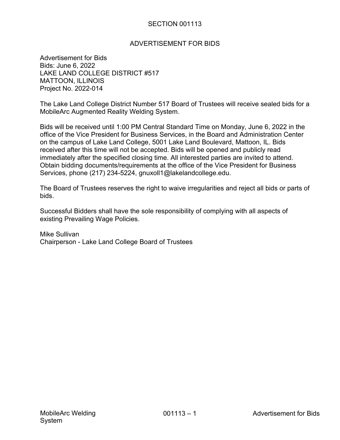#### ADVERTISEMENT FOR BIDS

Advertisement for Bids Bids: June 6, 2022 LAKE LAND COLLEGE DISTRICT #517 MATTOON, ILLINOIS Project No. 2022-014

The Lake Land College District Number 517 Board of Trustees will receive sealed bids for a MobileArc Augmented Reality Welding System.

Bids will be received until 1:00 PM Central Standard Time on Monday, June 6, 2022 in the office of the Vice President for Business Services, in the Board and Administration Center on the campus of Lake Land College, 5001 Lake Land Boulevard, Mattoon, IL. Bids received after this time will not be accepted. Bids will be opened and publicly read immediately after the specified closing time. All interested parties are invited to attend. Obtain bidding documents/requirements at the office of the Vice President for Business Services, phone (217) 234-5224, gnuxoll1@lakelandcollege.edu.

The Board of Trustees reserves the right to waive irregularities and reject all bids or parts of bids.

Successful Bidders shall have the sole responsibility of complying with all aspects of existing Prevailing Wage Policies.

Mike Sullivan Chairperson - Lake Land College Board of Trustees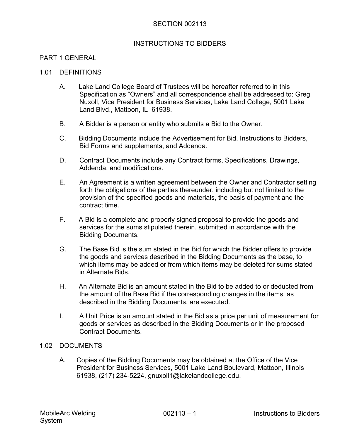#### INSTRUCTIONS TO BIDDERS

#### PART 1 GENERAL

#### 1.01 DEFINITIONS

- A. Lake Land College Board of Trustees will be hereafter referred to in this Specification as "Owners" and all correspondence shall be addressed to: Greg Nuxoll, Vice President for Business Services, Lake Land College, 5001 Lake Land Blvd., Mattoon, IL 61938.
- B. A Bidder is a person or entity who submits a Bid to the Owner.
- C. Bidding Documents include the Advertisement for Bid, Instructions to Bidders, Bid Forms and supplements, and Addenda.
- D. Contract Documents include any Contract forms, Specifications, Drawings, Addenda, and modifications.
- E. An Agreement is a written agreement between the Owner and Contractor setting forth the obligations of the parties thereunder, including but not limited to the provision of the specified goods and materials, the basis of payment and the contract time.
- F. A Bid is a complete and properly signed proposal to provide the goods and services for the sums stipulated therein, submitted in accordance with the Bidding Documents.
- G. The Base Bid is the sum stated in the Bid for which the Bidder offers to provide the goods and services described in the Bidding Documents as the base, to which items may be added or from which items may be deleted for sums stated in Alternate Bids.
- H. An Alternate Bid is an amount stated in the Bid to be added to or deducted from the amount of the Base Bid if the corresponding changes in the items, as described in the Bidding Documents, are executed.
- I. A Unit Price is an amount stated in the Bid as a price per unit of measurement for goods or services as described in the Bidding Documents or in the proposed Contract Documents.

#### 1.02 DOCUMENTS

A. Copies of the Bidding Documents may be obtained at the Office of the Vice President for Business Services, 5001 Lake Land Boulevard, Mattoon, Illinois 61938, (217) 234-5224, gnuxoll1@lakelandcollege.edu.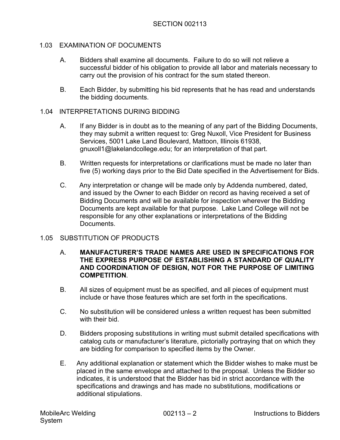#### 1.03 EXAMINATION OF DOCUMENTS

- A. Bidders shall examine all documents. Failure to do so will not relieve a successful bidder of his obligation to provide all labor and materials necessary to carry out the provision of his contract for the sum stated thereon.
- B. Each Bidder, by submitting his bid represents that he has read and understands the bidding documents.

#### 1.04 INTERPRETATIONS DURING BIDDING

- A. If any Bidder is in doubt as to the meaning of any part of the Bidding Documents, they may submit a written request to: Greg Nuxoll, Vice President for Business Services, 5001 Lake Land Boulevard, Mattoon, Illinois 61938, gnuxoll1@lakelandcollege.edu; for an interpretation of that part.
- B. Written requests for interpretations or clarifications must be made no later than five (5) working days prior to the Bid Date specified in the Advertisement for Bids.
- C. Any interpretation or change will be made only by Addenda numbered, dated, and issued by the Owner to each Bidder on record as having received a set of Bidding Documents and will be available for inspection wherever the Bidding Documents are kept available for that purpose. Lake Land College will not be responsible for any other explanations or interpretations of the Bidding **Documents**

#### 1.05 SUBSTITUTION OF PRODUCTS

- A. **MANUFACTURER'S TRADE NAMES ARE USED IN SPECIFICATIONS FOR THE EXPRESS PURPOSE OF ESTABLISHING A STANDARD OF QUALITY AND COORDINATION OF DESIGN, NOT FOR THE PURPOSE OF LIMITING COMPETITION**.
- B. All sizes of equipment must be as specified, and all pieces of equipment must include or have those features which are set forth in the specifications.
- C. No substitution will be considered unless a written request has been submitted with their bid.
- D. Bidders proposing substitutions in writing must submit detailed specifications with catalog cuts or manufacturer's literature, pictorially portraying that on which they are bidding for comparison to specified items by the Owner.
- E. Any additional explanation or statement which the Bidder wishes to make must be placed in the same envelope and attached to the proposal. Unless the Bidder so indicates, it is understood that the Bidder has bid in strict accordance with the specifications and drawings and has made no substitutions, modifications or additional stipulations.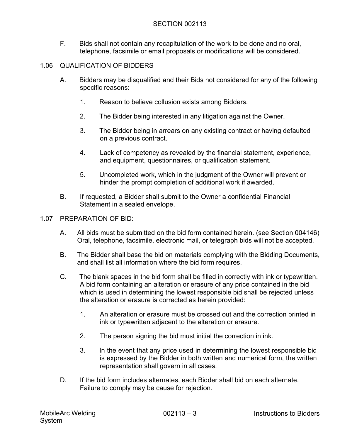F. Bids shall not contain any recapitulation of the work to be done and no oral, telephone, facsimile or email proposals or modifications will be considered.

# 1.06 QUALIFICATION OF BIDDERS

- A. Bidders may be disqualified and their Bids not considered for any of the following specific reasons:
	- 1. Reason to believe collusion exists among Bidders.
	- 2. The Bidder being interested in any litigation against the Owner.
	- 3. The Bidder being in arrears on any existing contract or having defaulted on a previous contract.
	- 4. Lack of competency as revealed by the financial statement, experience, and equipment, questionnaires, or qualification statement.
	- 5. Uncompleted work, which in the judgment of the Owner will prevent or hinder the prompt completion of additional work if awarded.
- B. If requested, a Bidder shall submit to the Owner a confidential Financial Statement in a sealed envelope.
- 1.07 PREPARATION OF BID:
	- A. All bids must be submitted on the bid form contained herein. (see Section 004146) Oral, telephone, facsimile, electronic mail, or telegraph bids will not be accepted.
	- B. The Bidder shall base the bid on materials complying with the Bidding Documents, and shall list all information where the bid form requires.
	- C. The blank spaces in the bid form shall be filled in correctly with ink or typewritten. A bid form containing an alteration or erasure of any price contained in the bid which is used in determining the lowest responsible bid shall be rejected unless the alteration or erasure is corrected as herein provided:
		- 1. An alteration or erasure must be crossed out and the correction printed in ink or typewritten adjacent to the alteration or erasure.
		- 2. The person signing the bid must initial the correction in ink.
		- 3. In the event that any price used in determining the lowest responsible bid is expressed by the Bidder in both written and numerical form, the written representation shall govern in all cases.
	- D. If the bid form includes alternates, each Bidder shall bid on each alternate. Failure to comply may be cause for rejection.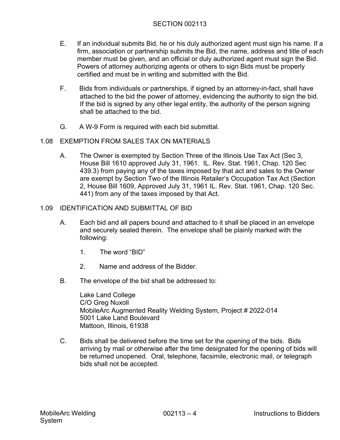- E. If an individual submits Bid, he or his duly authorized agent must sign his name. If a firm, association or partnership submits the Bid, the name, address and title of each member must be given, and an official or duly authorized agent must sign the Bid. Powers of attorney authorizing agents or others to sign Bids must be properly certified and must be in writing and submitted with the Bid.
- F. Bids from individuals or partnerships, if signed by an attorney-in-fact, shall have attached to the bid the power of attorney, evidencing the authority to sign the bid. If the bid is signed by any other legal entity, the authority of the person signing shall be attached to the bid.
- G. A W-9 Form is required with each bid submittal.

#### 1.08 EXEMPTION FROM SALES TAX ON MATERIALS

A. The Owner is exempted by Section Three of the Illinois Use Tax Act (Sec 3, House Bill 1610 approved July 31, 1961. IL. Rev. Stat. 1961, Chap. 120 Sec 439.3) from paying any of the taxes imposed by that act and sales to the Owner are exempt by Section Two of the Illinois Retailer's Occupation Tax Act (Section 2, House Bill 1609, Approved July 31, 1961 IL. Rev. Stat. 1961, Chap. 120 Sec. 441) from any of the taxes imposed by that Act.

#### 1.09 IDENTIFICATION AND SUBMITTAL OF BID

- A. Each bid and all papers bound and attached to it shall be placed in an envelope and securely sealed therein. The envelope shall be plainly marked with the following:
	- 1. The word "BID"
	- 2. Name and address of the Bidder.
- B. The envelope of the bid shall be addressed to:

Lake Land College C/O Greg Nuxoll MobileArc Augmented Reality Welding System, Project # 2022-014 5001 Lake Land Boulevard Mattoon, Illinois, 61938

C. Bids shall be delivered before the time set for the opening of the bids. Bids arriving by mail or otherwise after the time designated for the opening of bids will be returned unopened. Oral, telephone, facsimile, electronic mail, or telegraph bids shall not be accepted.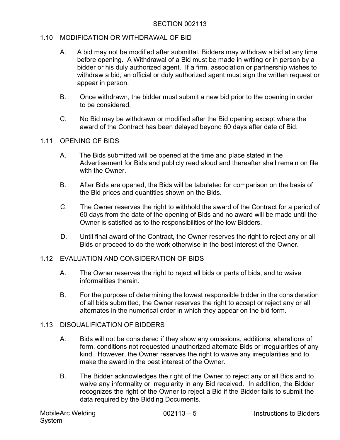#### 1.10 MODIFICATION OR WITHDRAWAL OF BID

- A. A bid may not be modified after submittal. Bidders may withdraw a bid at any time before opening. A Withdrawal of a Bid must be made in writing or in person by a bidder or his duly authorized agent. If a firm, association or partnership wishes to withdraw a bid, an official or duly authorized agent must sign the written request or appear in person.
- B. Once withdrawn, the bidder must submit a new bid prior to the opening in order to be considered.
- C. No Bid may be withdrawn or modified after the Bid opening except where the award of the Contract has been delayed beyond 60 days after date of Bid.

#### 1.11 OPENING OF BIDS

- A. The Bids submitted will be opened at the time and place stated in the Advertisement for Bids and publicly read aloud and thereafter shall remain on file with the Owner
- B. After Bids are opened, the Bids will be tabulated for comparison on the basis of the Bid prices and quantities shown on the Bids.
- C. The Owner reserves the right to withhold the award of the Contract for a period of 60 days from the date of the opening of Bids and no award will be made until the Owner is satisfied as to the responsibilities of the low Bidders.
- D. Until final award of the Contract, the Owner reserves the right to reject any or all Bids or proceed to do the work otherwise in the best interest of the Owner.

## 1.12 EVALUATION AND CONSIDERATION OF BIDS

- A. The Owner reserves the right to reject all bids or parts of bids, and to waive informalities therein.
- B. For the purpose of determining the lowest responsible bidder in the consideration of all bids submitted, the Owner reserves the right to accept or reject any or all alternates in the numerical order in which they appear on the bid form.

#### 1.13 DISQUALIFICATION OF BIDDERS

- A. Bids will not be considered if they show any omissions, additions, alterations of form, conditions not requested unauthorized alternate Bids or irregularities of any kind. However, the Owner reserves the right to waive any irregularities and to make the award in the best interest of the Owner.
- B. The Bidder acknowledges the right of the Owner to reject any or all Bids and to waive any informality or irregularity in any Bid received. In addition, the Bidder recognizes the right of the Owner to reject a Bid if the Bidder fails to submit the data required by the Bidding Documents.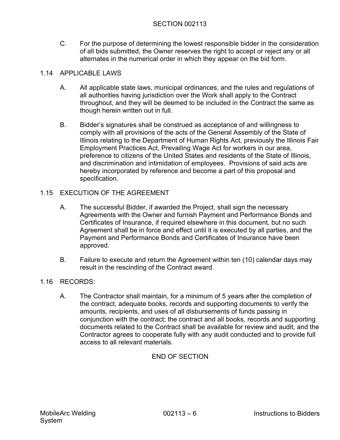C. For the purpose of determining the lowest responsible bidder in the consideration of all bids submitted, the Owner reserves the right to accept or reject any or all alternates in the numerical order in which they appear on the bid form.

# 1.14 APPLICABLE LAWS

- A. All applicable state laws, municipal ordinances, and the rules and regulations of all authorities having jurisdiction over the Work shall apply to the Contract throughout, and they will be deemed to be included in the Contract the same as though herein written out in full.
- B. Bidder's signatures shall be construed as acceptance of and willingness to comply with all provisions of the acts of the General Assembly of the State of Illinois relating to the Department of Human Rights Act, previously the Illinois Fair Employment Practices Act, Prevailing Wage Act for workers in our area, preference to citizens of the United States and residents of the State of Illinois, and discrimination and intimidation of employees. Provisions of said acts are hereby incorporated by reference and become a part of this proposal and specification.

# 1.15 EXECUTION OF THE AGREEMENT

- A. The successful Bidder, if awarded the Project, shall sign the necessary Agreements with the Owner and furnish Payment and Performance Bonds and Certificates of Insurance, if required elsewhere in this document, but no such Agreement shall be in force and effect until it is executed by all parties, and the Payment and Performance Bonds and Certificates of Insurance have been approved.
- B. Failure to execute and return the Agreement within ten (10) calendar days may result in the rescinding of the Contract award.

## 1.16 RECORDS:

A. The Contractor shall maintain, for a minimum of 5 years after the completion of the contract, adequate books, records and supporting documents to verify the amounts, recipients, and uses of all disbursements of funds passing in conjunction with the contract; the contract and all books, records and supporting documents related to the Contract shall be available for review and audit, and the Contractor agrees to cooperate fully with any audit conducted and to provide full access to all relevant materials.

# END OF SECTION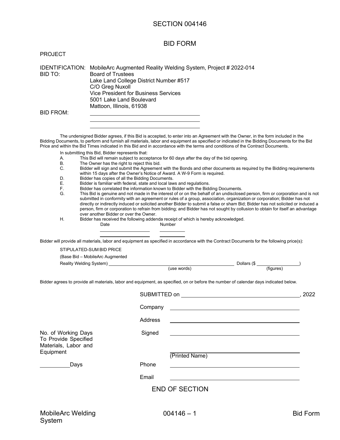#### BID FORM

| <b>PROJECT</b> |
|----------------|
|----------------|

IDENTIFICATION: MobileArc Augmented Reality Welding System, Project # 2022-014 BID TO: Board of Trustees Lake Land College District Number #517 C/O Greg Nuxoll Vice President for Business Services 5001 Lake Land Boulevard Mattoon, Illinois, 61938 BID FROM:

The undersigned Bidder agrees, if this Bid is accepted, to enter into an Agreement with the Owner, in the form included in the Bidding Documents, to perform and furnish all materials, labor and equipment as specified or indicated in the Bidding Documents for the Bid Price and within the Bid Times indicated in this Bid and in accordance with the terms and conditions of the Contract Documents.

- In submitting this Bid, Bidder represents that:
- A. This Bid will remain subject to acceptance for 60 days after the day of the bid opening.
- The Owner has the right to reject this bid.
- C. Bidder will sign and submit the Agreement with the Bonds and other documents as required by the Bidding requirements within 15 days after the Owner's Notice of Award. A W-9 Form is required.
- D. Bidder has copies of all the Bidding Documents.
- E. Bidder is familiar with federal, state and local laws and regulations.
- F. Bidder has correlated the information known to Bidder with the Bidding Documents.
- This Bid is genuine and not made in the interest of or on the behalf of an undisclosed person, firm or corporation and is not submitted in conformity with an agreement or rules of a group, association, organization or corporation; Bidder has not directly or indirectly induced or solicited another Bidder to submit a false or sham Bid; Bidder has not solicited or induced a person, firm or corporation to refrain from bidding; and Bidder has not sought by collusion to obtain for itself an advantage over another Bidder or over the Owner.
- H. Bidder has received the following addenda receipt of which is hereby acknowledged. Date Number
	-

Bidder will provide all materials, labor and equipment as specified in accordance with the Contract Documents for the following price(s):

STIPULATED-SUM BID PRICE

| (Base Bid - MobileArc Augmented |
|---------------------------------|
|---------------------------------|

Reality Welding System) Dollars (\$ )

| (use words) |  |
|-------------|--|

Bidder agrees to provide all materials, labor and equipment, as specified, on or before the number of calendar days indicated below.

|                                                                                  | Company |                                                                                                                         |  |
|----------------------------------------------------------------------------------|---------|-------------------------------------------------------------------------------------------------------------------------|--|
|                                                                                  | Address |                                                                                                                         |  |
| No. of Working Days<br>To Provide Specified<br>Materials, Labor and<br>Equipment | Signed  | <u> a shekara ta 1989, a shekara ta 1989, a shekara ta 1989, a shekara ta 1989, a shekara ta 1989</u><br>(Printed Name) |  |
| Days                                                                             | Phone   |                                                                                                                         |  |
|                                                                                  | Email   |                                                                                                                         |  |
|                                                                                  |         | <b>END OF SECTION</b>                                                                                                   |  |
|                                                                                  |         |                                                                                                                         |  |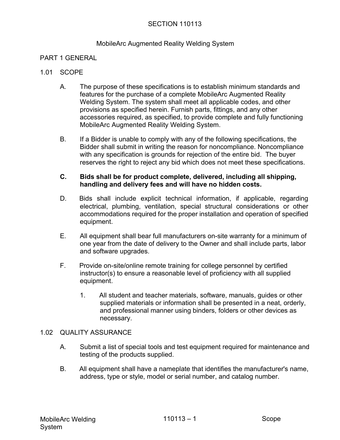#### MobileArc Augmented Reality Welding System

#### PART 1 GENERAL

#### 1.01 SCOPE

- A. The purpose of these specifications is to establish minimum standards and features for the purchase of a complete MobileArc Augmented Reality Welding System. The system shall meet all applicable codes, and other provisions as specified herein. Furnish parts, fittings, and any other accessories required, as specified, to provide complete and fully functioning MobileArc Augmented Reality Welding System.
- B. If a Bidder is unable to comply with any of the following specifications, the Bidder shall submit in writing the reason for noncompliance. Noncompliance with any specification is grounds for rejection of the entire bid. The buyer reserves the right to reject any bid which does not meet these specifications.

#### **C. Bids shall be for product complete, delivered, including all shipping, handling and delivery fees and will have no hidden costs.**

- D. Bids shall include explicit technical information, if applicable, regarding electrical, plumbing, ventilation, special structural considerations or other accommodations required for the proper installation and operation of specified equipment.
- E. All equipment shall bear full manufacturers on-site warranty for a minimum of one year from the date of delivery to the Owner and shall include parts, labor and software upgrades.
- F. Provide on-site/online remote training for college personnel by certified instructor(s) to ensure a reasonable level of proficiency with all supplied equipment.
	- 1. All student and teacher materials, software, manuals, guides or other supplied materials or information shall be presented in a neat, orderly, and professional manner using binders, folders or other devices as necessary.

#### 1.02 QUALITY ASSURANCE

- A. Submit a list of special tools and test equipment required for maintenance and testing of the products supplied.
- B. All equipment shall have a nameplate that identifies the manufacturer's name, address, type or style, model or serial number, and catalog number.